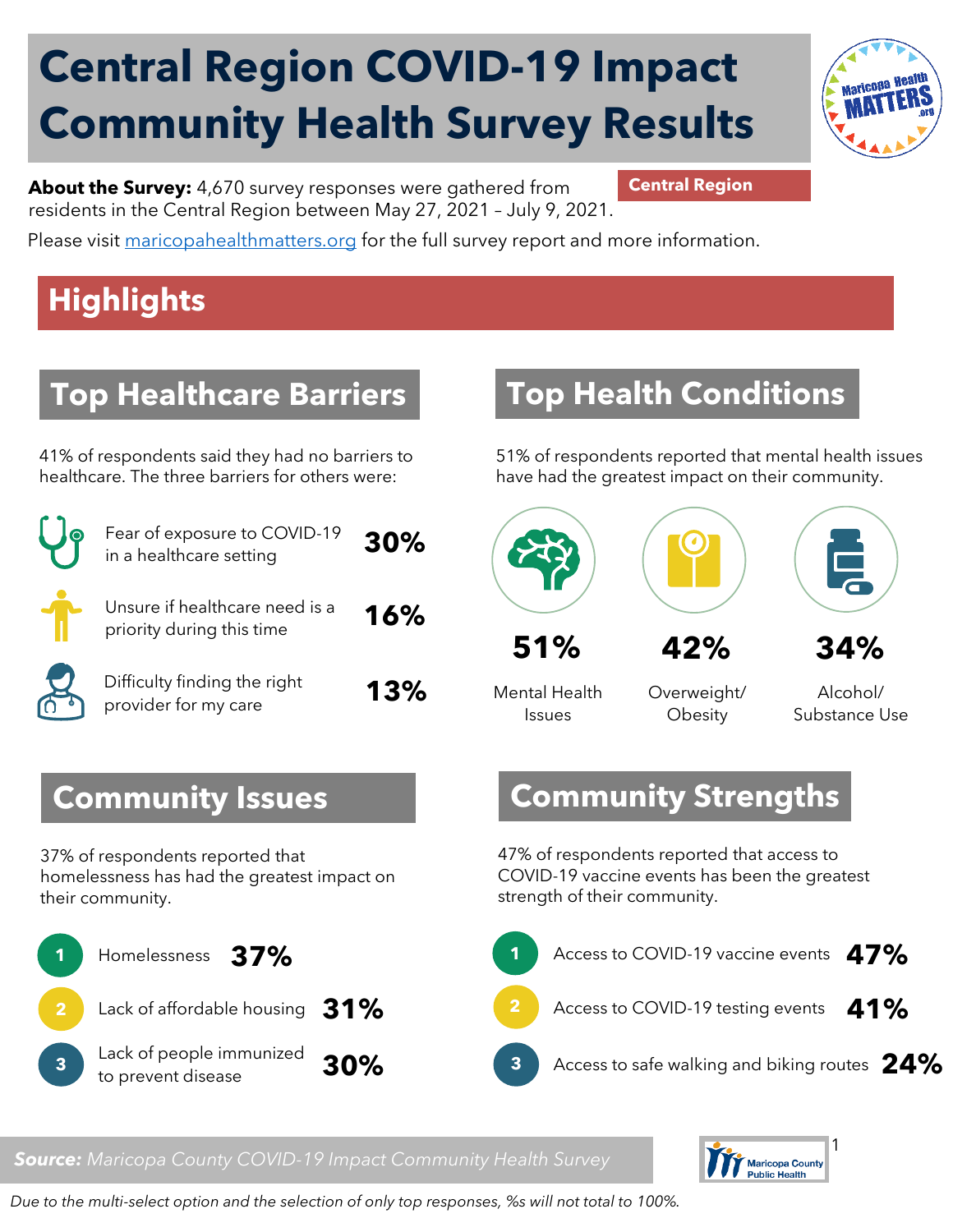# **Central Region COVID-19 Impact Community Health Survey Results**



**About the Survey:** 4,670 survey responses were gathered from **Central Region** residents in the Central Region between May 27, 2021 – July 9, 2021.

Please visit [maricopahealthmatters.org](https://www.maricopa.gov/5100/Health-Data-Maricopa-Health-Matters) for the full survey report and more information.

## **Highlights**

## **Top Healthcare Barriers**

41% of respondents said they had no barriers to healthcare. The three barriers for others were:

| $\bullet$             | Fear of exposure to COVID-19<br>in a healthcare setting     | 30% |
|-----------------------|-------------------------------------------------------------|-----|
|                       | Unsure if healthcare need is a<br>priority during this time | 16% |
| $\boldsymbol{\nabla}$ | Difficulty finding the right<br>provider for my care        | 13% |

## **Top Health Conditions**

51% of respondents reported that mental health issues have had the greatest impact on their community.





**51% 42%**

Mental Health Issues

Overweight/ **Obesity** 

Alcohol/ Substance Use

**34%**

#### **Community Issues**

37% of respondents reported that homelessness has had the greatest impact on their community.



#### **Community Strengths**

47% of respondents reported that access to COVID-19 vaccine events has been the greatest strength of their community.



#### *Source: Maricopa County COVID-19 Impact Community Health Survey*



*Due to the multi-select option and the selection of only top responses, %s will not total to 100%.*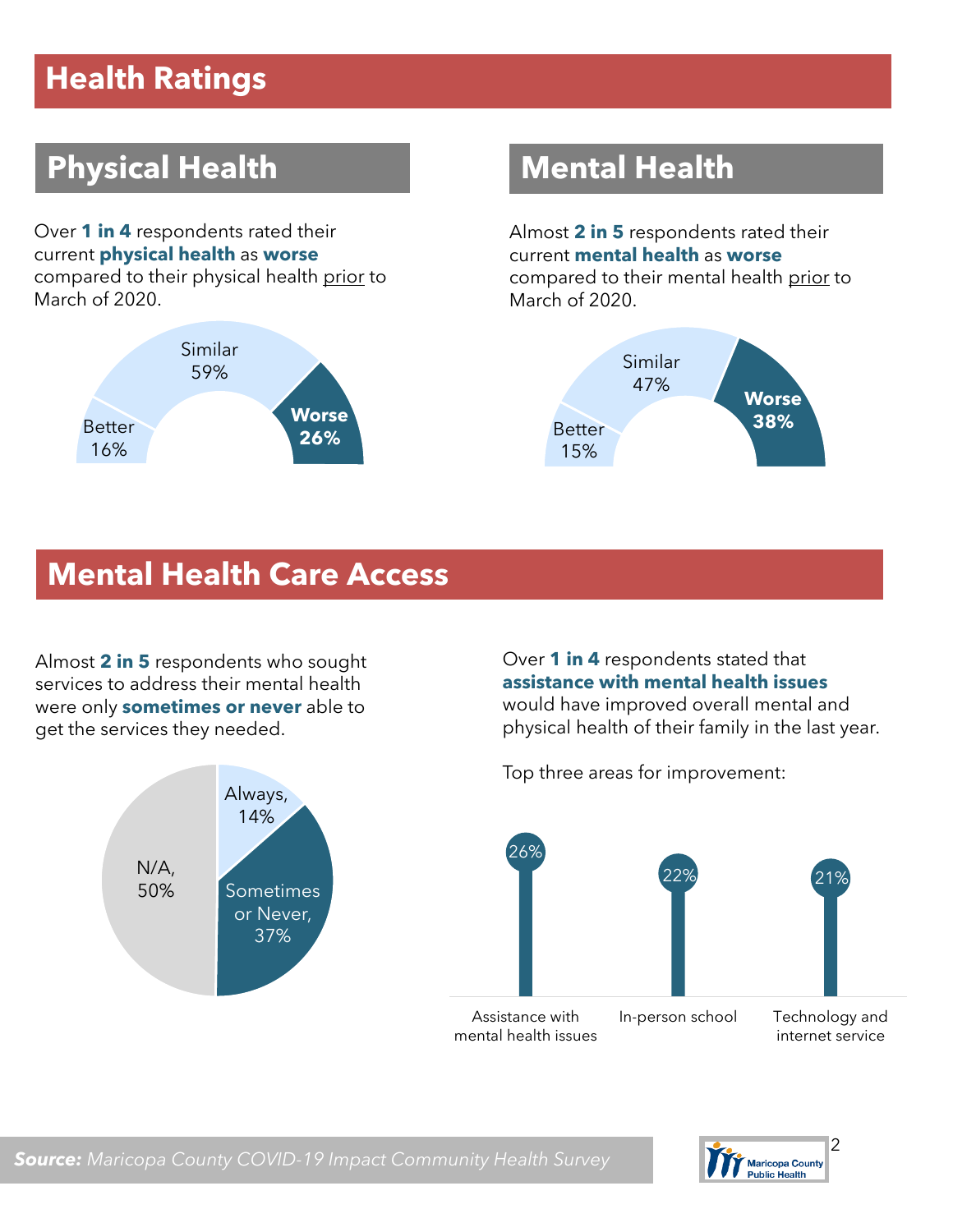## **Health Ratings**

## **Physical Health Mental Health**

Over **1 in 4** respondents rated their current **physical health** as **worse** compared to their physical health prior to March of 2020.



Almost **2 in 5** respondents rated their current **mental health** as **worse** compared to their mental health prior to March of 2020.



#### **Mental Health Care Access**

Almost **2 in 5** respondents who sought services to address their mental health were only **sometimes or never** able to get the services they needed.



Over **1 in 4** respondents stated that **assistance with mental health issues**  would have improved overall mental and physical health of their family in the last year.

Top three areas for improvement:



Assistance with mental health issues internet service



*Source: Maricopa County COVID-19 Impact Community Health Survey*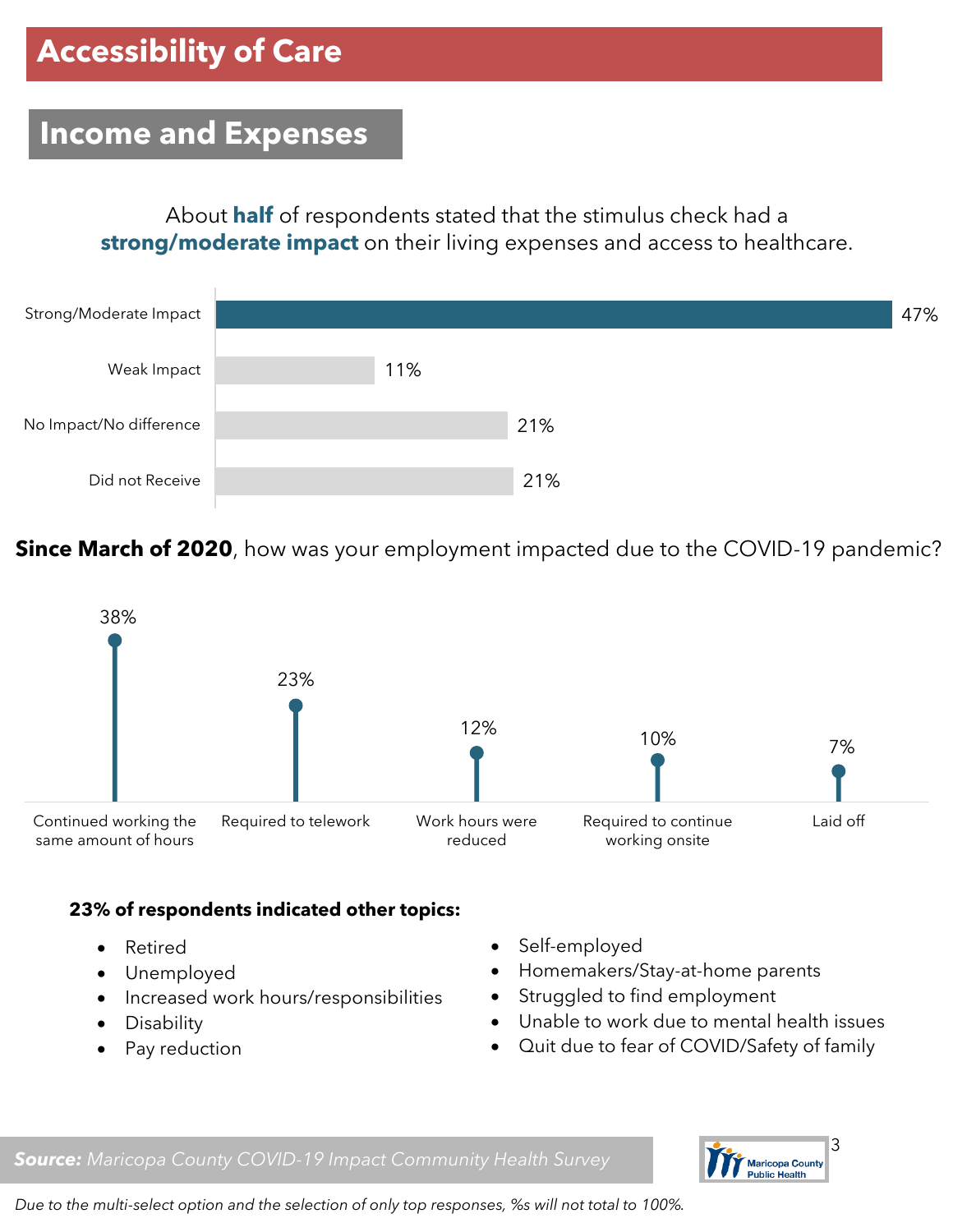#### **Income and Expenses**

About **half** of respondents stated that the stimulus check had a **strong/moderate impact** on their living expenses and access to healthcare.



**Since March of 2020**, how was your employment impacted due to the COVID-19 pandemic?



#### **23% of respondents indicated other topics:**

- Retired
- Unemployed
- Increased work hours/responsibilities
- Disability
- Pay reduction
- Self-employed
- Homemakers/Stay-at-home parents
- Struggled to find employment
- Unable to work due to mental health issues
- Quit due to fear of COVID/Safety of family

*Source: Maricopa County COVID-19 Impact Community Health Survey*



*Due to the multi-select option and the selection of only top responses, %s will not total to 100%.*